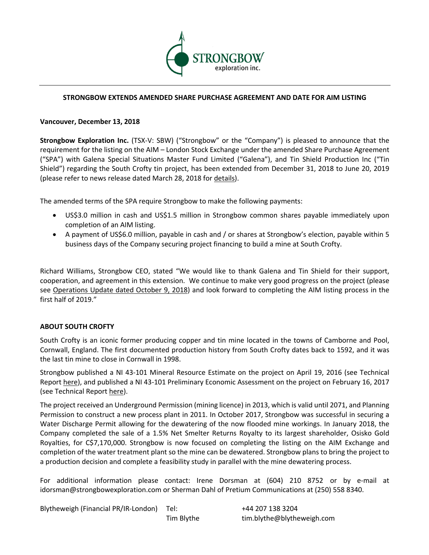

# **STRONGBOW EXTENDS AMENDED SHARE PURCHASE AGREEMENT AND DATE FOR AIM LISTING**

# **Vancouver, December 13, 2018**

**Strongbow Exploration Inc.** (TSX-V: SBW) ("Strongbow" or the "Company") is pleased to announce that the requirement for the listing on the AIM – London Stock Exchange under the amended Share Purchase Agreement ("SPA") with Galena Special Situations Master Fund Limited ("Galena"), and Tin Shield Production Inc ("Tin Shield") regarding the South Crofty tin project, has been extended from December 31, 2018 to June 20, 2019 (please refer to news release dated March 28, 2018 for details).

The amended terms of the SPA require Strongbow to make the following payments:

- US\$3.0 million in cash and US\$1.5 million in Strongbow common shares payable immediately upon completion of an AIM listing.
- A payment of US\$6.0 million, payable in cash and / or shares at Strongbow's election, payable within 5 business days of the Company securing project financing to build a mine at South Crofty.

Richard Williams, Strongbow CEO, stated "We would like to thank Galena and Tin Shield for their support, cooperation, and agreement in this extension. We continue to make very good progress on the project (please see Operations Update dated October 9, 2018) and look forward to completing the AIM listing process in the first half of 2019."

# **ABOUT SOUTH CROFTY**

South Crofty is an iconic former producing copper and tin mine located in the towns of Camborne and Pool, Cornwall, England. The first documented production history from South Crofty dates back to 1592, and it was the last tin mine to close in Cornwall in 1998.

Strongbow published a NI 43-101 Mineral Resource Estimate on the project on April 19, 2016 (see Technical Report here), and published a NI 43-101 Preliminary Economic Assessment on the project on February 16, 2017 (see Technical Report here).

The project received an Underground Permission (mining licence) in 2013, which is valid until 2071, and Planning Permission to construct a new process plant in 2011. In October 2017, Strongbow was successful in securing a Water Discharge Permit allowing for the dewatering of the now flooded mine workings. In January 2018, the Company completed the sale of a 1.5% Net Smelter Returns Royalty to its largest shareholder, Osisko Gold Royalties, for C\$7,170,000. Strongbow is now focused on completing the listing on the AIM Exchange and completion of the water treatment plant so the mine can be dewatered. Strongbow plans to bring the project to a production decision and complete a feasibility study in parallel with the mine dewatering process.

For additional information please contact: Irene Dorsman at (604) 210 8752 or by e-mail at idorsman@strongbowexploration.com or Sherman Dahl of Pretium Communications at (250) 558 8340.

Blytheweigh (Financial PR/IR-London) Tel: +44 207 138 3204

Tim Blythe tim.blythe@blytheweigh.com